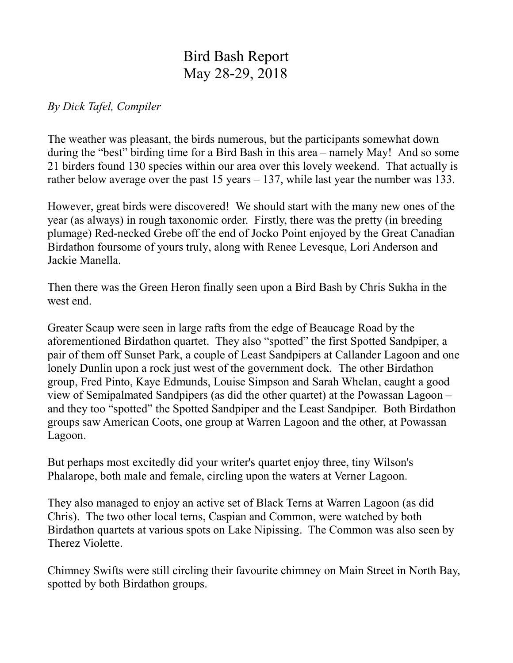## Bird Bash Report May 28-29, 2018

## *By Dick Tafel, Compiler*

The weather was pleasant, the birds numerous, but the participants somewhat down during the "best" birding time for a Bird Bash in this area – namely May! And so some 21 birders found 130 species within our area over this lovely weekend. That actually is rather below average over the past 15 years – 137, while last year the number was 133.

However, great birds were discovered! We should start with the many new ones of the year (as always) in rough taxonomic order. Firstly, there was the pretty (in breeding plumage) Red-necked Grebe off the end of Jocko Point enjoyed by the Great Canadian Birdathon foursome of yours truly, along with Renee Levesque, Lori Anderson and Jackie Manella.

Then there was the Green Heron finally seen upon a Bird Bash by Chris Sukha in the west end.

Greater Scaup were seen in large rafts from the edge of Beaucage Road by the aforementioned Birdathon quartet. They also "spotted" the first Spotted Sandpiper, a pair of them off Sunset Park, a couple of Least Sandpipers at Callander Lagoon and one lonely Dunlin upon a rock just west of the government dock. The other Birdathon group, Fred Pinto, Kaye Edmunds, Louise Simpson and Sarah Whelan, caught a good view of Semipalmated Sandpipers (as did the other quartet) at the Powassan Lagoon – and they too "spotted" the Spotted Sandpiper and the Least Sandpiper. Both Birdathon groups saw American Coots, one group at Warren Lagoon and the other, at Powassan Lagoon.

But perhaps most excitedly did your writer's quartet enjoy three, tiny Wilson's Phalarope, both male and female, circling upon the waters at Verner Lagoon.

They also managed to enjoy an active set of Black Terns at Warren Lagoon (as did Chris). The two other local terns, Caspian and Common, were watched by both Birdathon quartets at various spots on Lake Nipissing. The Common was also seen by Therez Violette.

Chimney Swifts were still circling their favourite chimney on Main Street in North Bay, spotted by both Birdathon groups.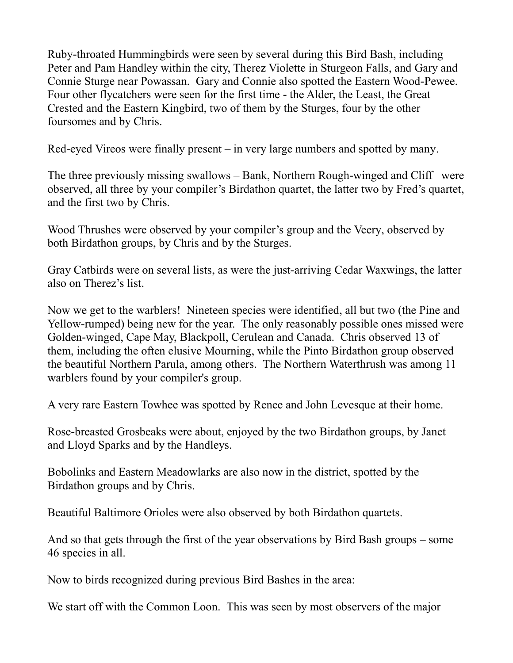Ruby-throated Hummingbirds were seen by several during this Bird Bash, including Peter and Pam Handley within the city, Therez Violette in Sturgeon Falls, and Gary and Connie Sturge near Powassan. Gary and Connie also spotted the Eastern Wood-Pewee. Four other flycatchers were seen for the first time - the Alder, the Least, the Great Crested and the Eastern Kingbird, two of them by the Sturges, four by the other foursomes and by Chris.

Red-eyed Vireos were finally present – in very large numbers and spotted by many.

The three previously missing swallows – Bank, Northern Rough-winged and Cliff were observed, all three by your compiler's Birdathon quartet, the latter two by Fred's quartet, and the first two by Chris.

Wood Thrushes were observed by your compiler's group and the Veery, observed by both Birdathon groups, by Chris and by the Sturges.

Gray Catbirds were on several lists, as were the just-arriving Cedar Waxwings, the latter also on Therez's list.

Now we get to the warblers! Nineteen species were identified, all but two (the Pine and Yellow-rumped) being new for the year. The only reasonably possible ones missed were Golden-winged, Cape May, Blackpoll, Cerulean and Canada. Chris observed 13 of them, including the often elusive Mourning, while the Pinto Birdathon group observed the beautiful Northern Parula, among others. The Northern Waterthrush was among 11 warblers found by your compiler's group.

A very rare Eastern Towhee was spotted by Renee and John Levesque at their home.

Rose-breasted Grosbeaks were about, enjoyed by the two Birdathon groups, by Janet and Lloyd Sparks and by the Handleys.

Bobolinks and Eastern Meadowlarks are also now in the district, spotted by the Birdathon groups and by Chris.

Beautiful Baltimore Orioles were also observed by both Birdathon quartets.

And so that gets through the first of the year observations by Bird Bash groups – some 46 species in all.

Now to birds recognized during previous Bird Bashes in the area:

We start off with the Common Loon. This was seen by most observers of the major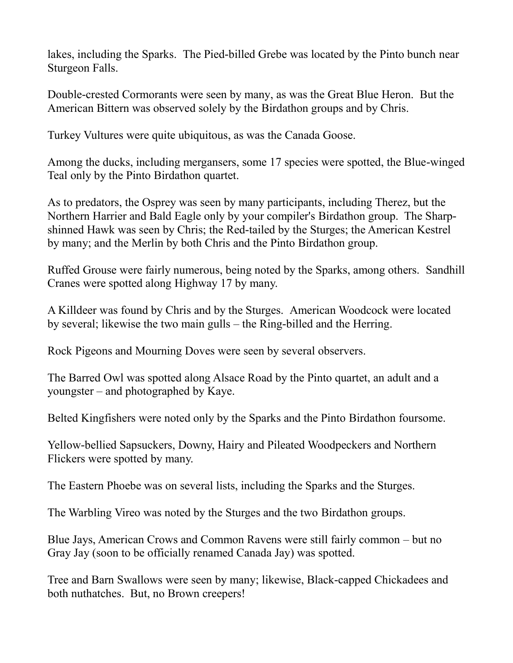lakes, including the Sparks. The Pied-billed Grebe was located by the Pinto bunch near Sturgeon Falls.

Double-crested Cormorants were seen by many, as was the Great Blue Heron. But the American Bittern was observed solely by the Birdathon groups and by Chris.

Turkey Vultures were quite ubiquitous, as was the Canada Goose.

Among the ducks, including mergansers, some 17 species were spotted, the Blue-winged Teal only by the Pinto Birdathon quartet.

As to predators, the Osprey was seen by many participants, including Therez, but the Northern Harrier and Bald Eagle only by your compiler's Birdathon group. The Sharpshinned Hawk was seen by Chris; the Red-tailed by the Sturges; the American Kestrel by many; and the Merlin by both Chris and the Pinto Birdathon group.

Ruffed Grouse were fairly numerous, being noted by the Sparks, among others. Sandhill Cranes were spotted along Highway 17 by many.

A Killdeer was found by Chris and by the Sturges. American Woodcock were located by several; likewise the two main gulls – the Ring-billed and the Herring.

Rock Pigeons and Mourning Doves were seen by several observers.

The Barred Owl was spotted along Alsace Road by the Pinto quartet, an adult and a youngster – and photographed by Kaye.

Belted Kingfishers were noted only by the Sparks and the Pinto Birdathon foursome.

Yellow-bellied Sapsuckers, Downy, Hairy and Pileated Woodpeckers and Northern Flickers were spotted by many.

The Eastern Phoebe was on several lists, including the Sparks and the Sturges.

The Warbling Vireo was noted by the Sturges and the two Birdathon groups.

Blue Jays, American Crows and Common Ravens were still fairly common – but no Gray Jay (soon to be officially renamed Canada Jay) was spotted.

Tree and Barn Swallows were seen by many; likewise, Black-capped Chickadees and both nuthatches. But, no Brown creepers!